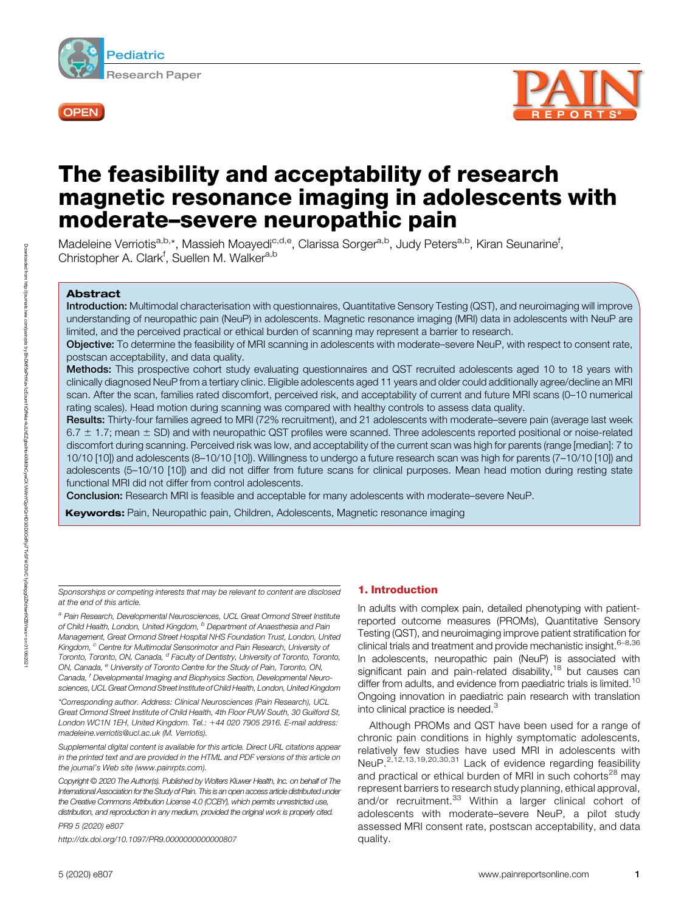



# The feasibility and acceptability of research magnetic resonance imaging in adolescents with moderate–severe neuropathic pain

Madeleine Verriotis<sup>a,b,</sup>\*, Massieh Moayedi<sup>c,d,e</sup>, Clarissa Sorger<sup>a,b</sup>, Judy Peters<sup>a,b</sup>, Kiran Seunarine<sup>f</sup>, Christopher A. Clark<sup>f</sup>, Suellen M. Walker<sup>a,b</sup>

# Abstract

Introduction: Multimodal characterisation with questionnaires, Quantitative Sensory Testing (QST), and neuroimaging will improve understanding of neuropathic pain (NeuP) in adolescents. Magnetic resonance imaging (MRI) data in adolescents with NeuP are limited, and the perceived practical or ethical burden of scanning may represent a barrier to research.

Objective: To determine the feasibility of MRI scanning in adolescents with moderate–severe NeuP, with respect to consent rate, postscan acceptability, and data quality.

Methods: This prospective cohort study evaluating questionnaires and QST recruited adolescents aged 10 to 18 years with clinically diagnosed NeuP from a tertiary clinic. Eligible adolescents aged 11 years and older could additionally agree/decline an MRI scan. After the scan, families rated discomfort, perceived risk, and acceptability of current and future MRI scans (0–10 numerical rating scales). Head motion during scanning was compared with healthy controls to assess data quality.

Results: Thirty-four families agreed to MRI (72% recruitment), and 21 adolescents with moderate–severe pain (average last week  $6.7 \pm 1.7$ ; mean  $\pm$  SD) and with neuropathic QST profiles were scanned. Three adolescents reported positional or noise-related discomfort during scanning. Perceived risk was low, and acceptability of the current scan was high for parents (range [median]: 7 to 10/10 [10]) and adolescents (8–10/10 [10]). Willingness to undergo a future research scan was high for parents (7–10/10 [10]) and adolescents (5–10/10 [10]) and did not differ from future scans for clinical purposes. Mean head motion during resting state functional MRI did not differ from control adolescents.

Conclusion: Research MRI is feasible and acceptable for many adolescents with moderate–severe NeuP.

Keywords: Pain, Neuropathic pain, Children, Adolescents, Magnetic resonance imaging

Sponsorships or competing interests that may be relevant to content are disclosed at the end of this article.

<sup>a</sup> Pain Research, Developmental Neurosciences, UCL Great Ormond Street Institute of Child Health, London, United Kingdom, <sup>b</sup> Department of Anaesthesia and Pain Management, Great Ormond Street Hospital NHS Foundation Trust, London, United Kingdom, <sup>c</sup> Centre for Multimodal Sensorimotor and Pain Research, University of Toronto, Toronto, ON, Canada, <sup>d</sup> Faculty of Dentistry, University of Toronto, Toronto, ON, Canada, <sup>e</sup> University of Toronto Centre for the Study of Pain, Toronto, ON, Canada, <sup>f</sup> Developmental Imaging and Biophysics Section, Developmental Neurosciences, UCL Great Ormond Street Institute of Child Health, London, United Kingdom

\*Corresponding author. Address: Clinical Neurosciences (Pain Research), UCL Great Ormond Street Institute of Child Health, 4th Floor PUW South, 30 Guilford St, London WC1N 1EH, United Kingdom. Tel.: +44 020 7905 2916. E-mail address: [madeleine.verriotis@ucl.ac.uk](mailto:madeleine.verriotis@ucl.ac.uk) (M. Verriotis).

Supplemental digital content is available for this article. Direct URL citations appear in the printed text and are provided in the HTML and PDF versions of this article on the journal's Web site [\(www.painrpts.com](http://journals.lww.com/painrpts/pages/default.aspx)).

Copyright © 2020 The Author(s). Published by Wolters Kluwer Health, Inc. on behalf of The International Association for the Study of Pain. This is an open access article distributed under the [Creative Commons Attribution License 4.0 \(CCBY\),](http://creativecommons.org/licenses/by/4.0/) which permits unrestricted use, distribution, and reproduction in any medium, provided the original work is properly cited.

PR9 5 (2020) e807

<http://dx.doi.org/10.1097/PR9.0000000000000807>

# 1. Introduction

In adults with complex pain, detailed phenotyping with patientreported outcome measures (PROMs), Quantitative Sensory Testing (QST), and neuroimaging improve patient stratification for clinical trials and treatment and provide mechanistic insight.<sup>6-8,36</sup> In adolescents, neuropathic pain (NeuP) is associated with significant pain and pain-related disability, $18$  but causes can differ from adults, and evidence from paediatric trials is limited.<sup>10</sup> Ongoing innovation in paediatric pain research with translation into clinical practice is needed.<sup>3</sup>

Although PROMs and QST have been used for a range of chronic pain conditions in highly symptomatic adolescents, relatively few studies have used MRI in adolescents with NeuP.<sup>2,12,13,19,20,30,31</sup> Lack of evidence regarding feasibility and practical or ethical burden of MRI in such cohorts<sup>28</sup> may represent barriers to research study planning, ethical approval, and/or recruitment.<sup>33</sup> Within a larger clinical cohort of adolescents with moderate–severe NeuP, a pilot study assessed MRI consent rate, postscan acceptability, and data quality.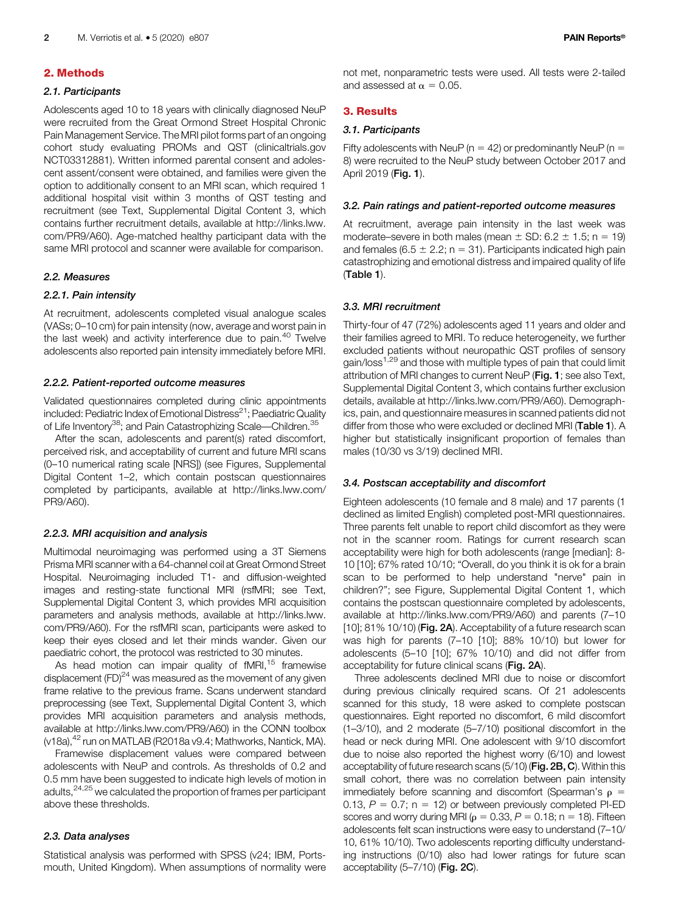# 2.1. Participants

Adolescents aged 10 to 18 years with clinically diagnosed NeuP were recruited from the Great Ormond Street Hospital Chronic Pain Management Service. The MRI pilot forms part of an ongoing cohort study evaluating PROMs and QST [\(clinicaltrials.gov](http://clinicaltrials.gov) NCT03312881). Written informed parental consent and adolescent assent/consent were obtained, and families were given the option to additionally consent to an MRI scan, which required 1 additional hospital visit within 3 months of QST testing and recruitment (see Text, Supplemental Digital Content 3, which contains further recruitment details, available at [http://links.lww.](http://links.lww.com/PR9/A60) [com/PR9/A60](http://links.lww.com/PR9/A60)). Age-matched healthy participant data with the same MRI protocol and scanner were available for comparison.

# 2.2. Measures

# 2.2.1. Pain intensity

At recruitment, adolescents completed visual analogue scales (VASs; 0–10 cm) for pain intensity (now, average and worst pain in the last week) and activity interference due to pain.<sup>40</sup> Twelve adolescents also reported pain intensity immediately before MRI.

#### 2.2.2. Patient-reported outcome measures

Validated questionnaires completed during clinic appointments included: Pediatric Index of Emotional Distress $^{21}$ ; Paediatric Quality of Life Inventory<sup>38</sup>; and Pain Catastrophizing Scale—Children.<sup>35</sup>

After the scan, adolescents and parent(s) rated discomfort, perceived risk, and acceptability of current and future MRI scans (0–10 numerical rating scale [NRS]) (see Figures, Supplemental Digital Content 1–2, which contain postscan questionnaires completed by participants, available at [http://links.lww.com/](http://links.lww.com/PR9/A60) [PR9/A60](http://links.lww.com/PR9/A60)).

#### 2.2.3. MRI acquisition and analysis

Multimodal neuroimaging was performed using a 3T Siemens Prisma MRI scanner with a 64-channel coil at Great Ormond Street Hospital. Neuroimaging included T1- and diffusion-weighted images and resting-state functional MRI (rsfMRI; see Text, Supplemental Digital Content 3, which provides MRI acquisition parameters and analysis methods, available at [http://links.lww.](http://links.lww.com/PR9/A60) [com/PR9/A60](http://links.lww.com/PR9/A60)). For the rsfMRI scan, participants were asked to keep their eyes closed and let their minds wander. Given our paediatric cohort, the protocol was restricted to 30 minutes.

As head motion can impair quality of  $fMRI$ ,<sup>15</sup> framewise displacement  $(FD)^{24}$  was measured as the movement of any given frame relative to the previous frame. Scans underwent standard preprocessing (see Text, Supplemental Digital Content 3, which provides MRI acquisition parameters and analysis methods, available at [http://links.lww.com/PR9/A60\)](http://links.lww.com/PR9/A60) in the CONN toolbox (v18a), <sup>42</sup> run on MATLAB (R2018a v9.4; Mathworks, Nantick, MA).

Framewise displacement values were compared between adolescents with NeuP and controls. As thresholds of 0.2 and 0.5 mm have been suggested to indicate high levels of motion in adults,24,25 we calculated the proportion of frames per participant above these thresholds.

#### 2.3. Data analyses

Statistical analysis was performed with SPSS (v24; IBM, Portsmouth, United Kingdom). When assumptions of normality were not met, nonparametric tests were used. All tests were 2-tailed and assessed at  $\alpha = 0.05$ .

# 3. Results

# 3.1. Participants

Fifty adolescents with NeuP ( $n = 42$ ) or predominantly NeuP ( $n = 5$ 8) were recruited to the NeuP study between October 2017 and April 2019 (Fig. 1).

## 3.2. Pain ratings and patient-reported outcome measures

At recruitment, average pain intensity in the last week was moderate–severe in both males (mean  $\pm$  SD: 6.2  $\pm$  1.5; n = 19) and females (6.5  $\pm$  2.2; n = 31). Participants indicated high pain catastrophizing and emotional distress and impaired quality of life (Table 1).

# 3.3. MRI recruitment

Thirty-four of 47 (72%) adolescents aged 11 years and older and their families agreed to MRI. To reduce heterogeneity, we further excluded patients without neuropathic QST profiles of sensory gain/loss<sup>1,29</sup> and those with multiple types of pain that could limit attribution of MRI changes to current NeuP (Fig. 1; see also Text, Supplemental Digital Content 3, which contains further exclusion details, available at<http://links.lww.com/PR9/A60>). Demographics, pain, and questionnaire measures in scanned patients did not differ from those who were excluded or declined MRI (Table 1). A higher but statistically insignificant proportion of females than males (10/30 vs 3/19) declined MRI.

#### 3.4. Postscan acceptability and discomfort

Eighteen adolescents (10 female and 8 male) and 17 parents (1 declined as limited English) completed post-MRI questionnaires. Three parents felt unable to report child discomfort as they were not in the scanner room. Ratings for current research scan acceptability were high for both adolescents (range [median]: 8- 10 [10]; 67% rated 10/10; "Overall, do you think it is ok for a brain scan to be performed to help understand "nerve" pain in children?"; see Figure, Supplemental Digital Content 1, which contains the postscan questionnaire completed by adolescents, available at [http://links.lww.com/PR9/A60\)](http://links.lww.com/PR9/A60) and parents (7–10 [10]; 81% 10/10) (Fig. 2A). Acceptability of a future research scan was high for parents (7–10 [10]; 88% 10/10) but lower for adolescents (5–10 [10]; 67% 10/10) and did not differ from acceptability for future clinical scans (Fig. 2A).

Three adolescents declined MRI due to noise or discomfort during previous clinically required scans. Of 21 adolescents scanned for this study, 18 were asked to complete postscan questionnaires. Eight reported no discomfort, 6 mild discomfort (1–3/10), and 2 moderate (5–7/10) positional discomfort in the head or neck during MRI. One adolescent with 9/10 discomfort due to noise also reported the highest worry (6/10) and lowest acceptability of future research scans (5/10) (Fig. 2B, C). Within this small cohort, there was no correlation between pain intensity immediately before scanning and discomfort (Spearman's  $\rho =$ 0.13,  $P = 0.7$ ; n = 12) or between previously completed PI-ED scores and worry during MRI ( $\rho = 0.33$ ,  $P = 0.18$ ; n = 18). Fifteen adolescents felt scan instructions were easy to understand (7–10/ 10, 61% 10/10). Two adolescents reporting difficulty understanding instructions (0/10) also had lower ratings for future scan acceptability (5–7/10) (Fig. 2C).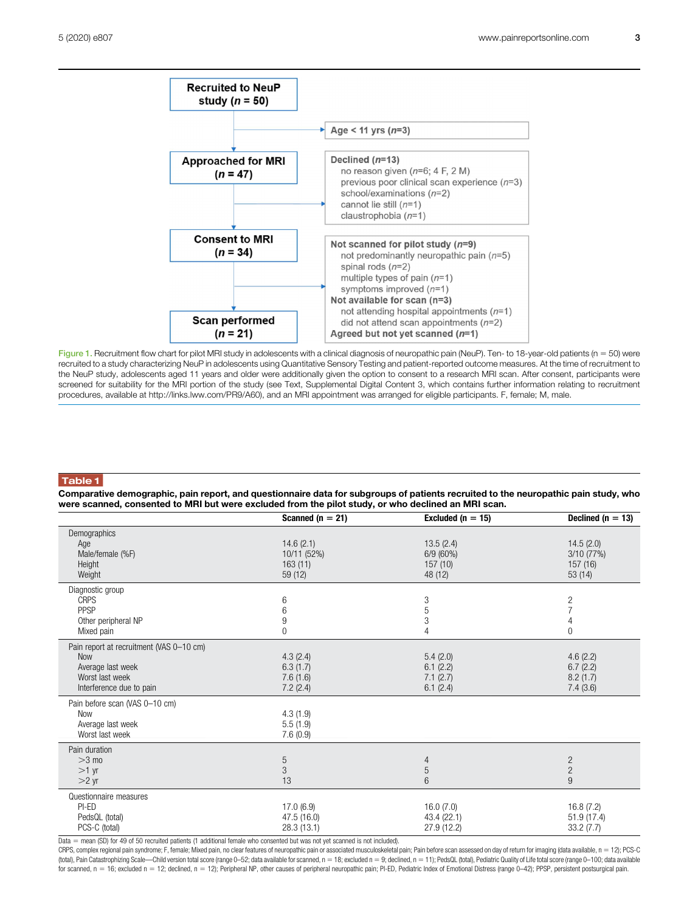

Figure 1. Recruitment flow chart for pilot MRI study in adolescents with a clinical diagnosis of neuropathic pain (NeuP). Ten- to 18-year-old patients (n = 50) were recruited to a study characterizing NeuP in adolescents using Quantitative Sensory Testing and patient-reported outcome measures. At the time of recruitment to the NeuP study, adolescents aged 11 years and older were additionally given the option to consent to a research MRI scan. After consent, participants were screened for suitability for the MRI portion of the study (see Text, Supplemental Digital Content 3, which contains further information relating to recruitment procedures, available at [http://links.lww.com/PR9/A60\)](http://links.lww.com/PR9/A60), and an MRI appointment was arranged for eligible participants. F, female; M, male.

# Table 1

Comparative demographic, pain report, and questionnaire data for subgroups of patients recruited to the neuropathic pain study, who were scanned, consented to MRI but were excluded from the pilot study, or who declined an MRI scan.

|                                                                                                                            | Scanned ( $n = 21$ )                           | Excluded ( $n = 15$ )                        | Declined ( $n = 13$ )                             |
|----------------------------------------------------------------------------------------------------------------------------|------------------------------------------------|----------------------------------------------|---------------------------------------------------|
| Demographics<br>Age<br>Male/female (%F)<br>Height<br>Weight                                                                | 14.6(2.1)<br>10/11 (52%)<br>163(11)<br>59 (12) | 13.5(2.4)<br>6/9(60%)<br>157(10)<br>48 (12)  | 14.5(2.0)<br>3/10(77%)<br>157 (16)<br>53(14)      |
| Diagnostic group<br><b>CRPS</b><br>PPSP<br>Other peripheral NP<br>Mixed pain                                               | 6<br>6<br>9<br>0                               | 3<br>5<br>3<br>4                             | $\frac{2}{7}$<br>$\overline{4}$<br>$\overline{0}$ |
| Pain report at recruitment (VAS 0-10 cm)<br><b>Now</b><br>Average last week<br>Worst last week<br>Interference due to pain | 4.3(2.4)<br>6.3(1.7)<br>7.6(1.6)<br>7.2(2.4)   | 5.4(2.0)<br>6.1(2.2)<br>7.1(2.7)<br>6.1(2.4) | 4.6(2.2)<br>6.7(2.2)<br>8.2(1.7)<br>7.4(3.6)      |
| Pain before scan (VAS 0-10 cm)<br><b>Now</b><br>Average last week<br>Worst last week                                       | 4.3(1.9)<br>5.5(1.9)<br>7.6(0.9)               |                                              |                                                   |
| Pain duration<br>$>3$ mo<br>$>1$ yr<br>$>2$ yr                                                                             | 5<br>3<br>13                                   | 4<br>5<br>6                                  | $\overline{c}$<br>$\sqrt{2}$<br>$9\,$             |
| Questionnaire measures<br>$PI-ED$<br>PedsQL (total)<br>PCS-C (total)                                                       | 17.0(6.9)<br>47.5 (16.0)<br>28.3(13.1)         | 16.0(7.0)<br>43.4 (22.1)<br>27.9 (12.2)      | 16.8(7.2)<br>51.9 (17.4)<br>33.2(7.7)             |

Data = mean (SD) for 49 of 50 recruited patients (1 additional female who consented but was not yet scanned is not included).

CRPS, complex regional pain syndrome; F, female; Mixed pain, no clear features of neuropathic pain or associated musculoskeletal pain; Pain before scan assessed on day of return for imaging (data available, n 5 12); PCS-C (total), Pain Catastrophizing Scale-Child version total score (range 0-52; data available for scanned, n = 18; excluded n = 9; declined, n = 11); PedsQL (total), Pediatric Quality of Life total score (range 0-100; data ava for scanned, n = 16; excluded n = 12; declined, n = 12); Peripheral NP, other causes of peripheral neuropathic pain; PI-ED, Pediatric Index of Emotional Distress (range 0-42); PPSP, persistent postsurgical pain.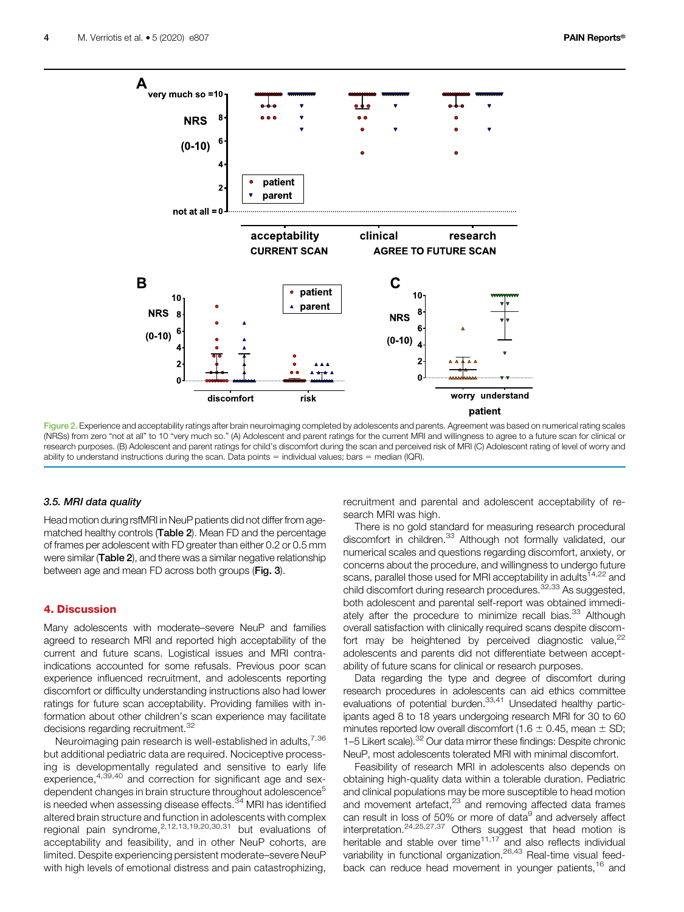

Figure 2. Experience and acceptability ratings after brain neuroimaging completed by adolescents and parents. Agreement was based on numerical rating scales (NRSs) from zero "not at all" to 10 "very much so." (A) Adolescent and parent ratings for the current MRI and willingness to agree to a future scan for clinical or research purposes. (B) Adolescent and parent ratings for child's discomfort during the scan and perceived risk of MRI (C) Adolescent rating of level of worry and ability to understand instructions during the scan. Data points  $=$  individual values; bars  $=$  median (IQR).

# 3.5. MRI data quality

Head motion during rsfMRI in NeuP patients did not differ from agematched healthy controls (Table 2). Mean FD and the percentage of frames per adolescent with FD greater than either 0.2 or 0.5 mm were similar (Table 2), and there was a similar negative relationship between age and mean FD across both groups (Fig. 3).

### 4. Discussion

Many adolescents with moderate–severe NeuP and families agreed to research MRI and reported high acceptability of the current and future scans. Logistical issues and MRI contraindications accounted for some refusals. Previous poor scan experience influenced recruitment, and adolescents reporting discomfort or difficulty understanding instructions also had lower ratings for future scan acceptability. Providing families with information about other children's scan experience may facilitate decisions regarding recruitment. 32

Neuroimaging pain research is well-established in adults,<sup>7,36</sup> but additional pediatric data are required. Nociceptive processing is developmentally regulated and sensitive to early life experience,<sup>4,39,40</sup> and correction for significant age and sexdependent changes in brain structure throughout adolescence<sup>5</sup> is needed when assessing disease effects.<sup>34</sup> MRI has identified altered brain structure and function in adolescents with complex regional pain syndrome,2,12,13,19,20,30,31 but evaluations of acceptability and feasibility, and in other NeuP cohorts, are limited. Despite experiencing persistent moderate–severe NeuP with high levels of emotional distress and pain catastrophizing,

recruitment and parental and adolescent acceptability of research MRI was high.

There is no gold standard for measuring research procedural discomfort in children.<sup>33</sup> Although not formally validated, our numerical scales and questions regarding discomfort, anxiety, or concerns about the procedure, and willingness to undergo future scans, parallel those used for MRI acceptability in adults<sup>14,22</sup> and child discomfort during research procedures.<sup>32,33</sup> As suggested, both adolescent and parental self-report was obtained immediately after the procedure to minimize recall bias.<sup>33</sup> Although overall satisfaction with clinically required scans despite discomfort may be heightened by perceived diagnostic value, $^{22}$ adolescents and parents did not differentiate between acceptability of future scans for clinical or research purposes.

Data regarding the type and degree of discomfort during research procedures in adolescents can aid ethics committee evaluations of potential burden.<sup>33,41</sup> Unsedated healthy participants aged 8 to 18 years undergoing research MRI for 30 to 60 minutes reported low overall discomfort (1.6  $\pm$  0.45, mean  $\pm$  SD; 1–5 Likert scale).<sup>32</sup> Our data mirror these findings: Despite chronic NeuP, most adolescents tolerated MRI with minimal discomfort.

Feasibility of research MRI in adolescents also depends on obtaining high-quality data within a tolerable duration. Pediatric and clinical populations may be more susceptible to head motion and movement artefact,<sup>23</sup> and removing affected data frames can result in loss of 50% or more of data<sup>9</sup> and adversely affect interpretation.<sup>24,25,27,37</sup> Others suggest that head motion is heritable and stable over time $11,17$  and also reflects individual variability in functional organization.<sup>26,43</sup> Real-time visual feedback can reduce head movement in younger patients,<sup>16</sup> and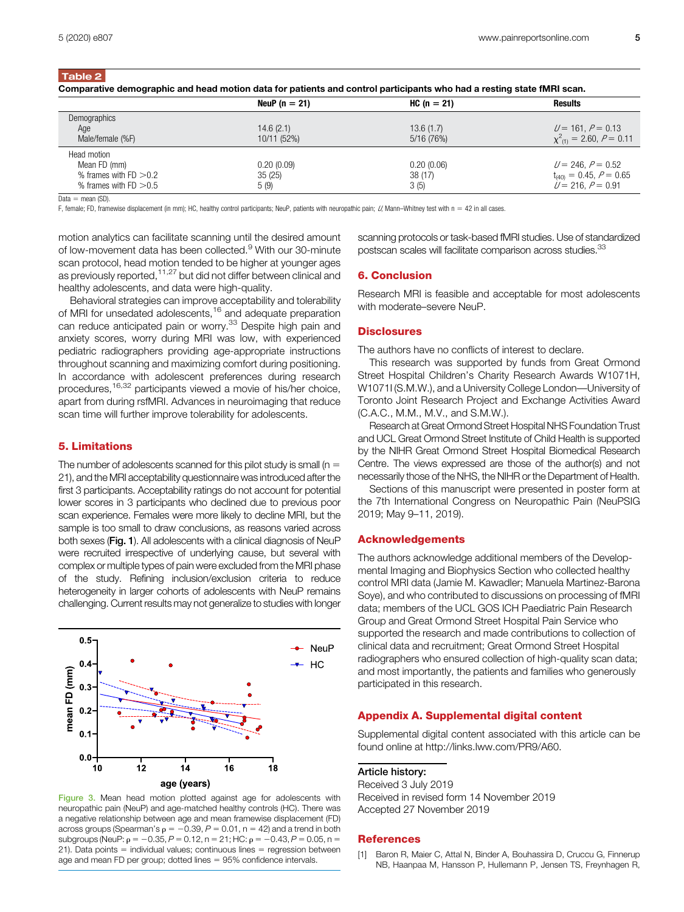Table 2

| Comparative demographic and head motion data for patients and control participants who had a resting state fMRI scan. |                   |               |                                 |
|-----------------------------------------------------------------------------------------------------------------------|-------------------|---------------|---------------------------------|
|                                                                                                                       | NeuP ( $n = 21$ ) | $HC (n = 21)$ | Results                         |
| Demographics                                                                                                          |                   |               |                                 |
| Age                                                                                                                   | 14.6(2.1)         | 13.6(1.7)     | $U = 161, P = 0.13$             |
| Male/female (%F)                                                                                                      | 10/11 (52%)       | 5/16 (76%)    | $\chi^2_{(1)} = 2.60, P = 0.11$ |
| Head motion                                                                                                           |                   |               |                                 |
| Mean FD (mm)                                                                                                          | 0.20(0.09)        | 0.20(0.06)    | $U = 246, P = 0.52$             |
| % frames with $FD > 0.2$                                                                                              | 35(25)            | 38 (17)       | $t_{(40)} = 0.45, P = 0.65$     |
| % frames with $FD > 0.5$                                                                                              | 5(9)              | 3(5)          | $U = 216$ , $P = 0.91$          |

Data  $=$  mean (SD).

F, female; FD, framewise displacement (in mm); HC, healthy control participants; NeuP, patients with neuropathic pain;  $U$  Mann–Whitney test with n = 42 in all cases.

motion analytics can facilitate scanning until the desired amount of low-movement data has been collected.<sup>9</sup> With our 30-minute scan protocol, head motion tended to be higher at younger ages as previously reported, <sup>11,27</sup> but did not differ between clinical and healthy adolescents, and data were high-quality.

Behavioral strategies can improve acceptability and tolerability of MRI for unsedated adolescents,<sup>16</sup> and adequate preparation can reduce anticipated pain or worry.<sup>33</sup> Despite high pain and anxiety scores, worry during MRI was low, with experienced pediatric radiographers providing age-appropriate instructions throughout scanning and maximizing comfort during positioning. In accordance with adolescent preferences during research procedures,16,32 participants viewed a movie of his/her choice, apart from during rsfMRI. Advances in neuroimaging that reduce scan time will further improve tolerability for adolescents.

### 5. Limitations

The number of adolescents scanned for this pilot study is small ( $n =$ 21), and the MRI acceptability questionnaire was introduced after the first 3 participants. Acceptability ratings do not account for potential lower scores in 3 participants who declined due to previous poor scan experience. Females were more likely to decline MRI, but the sample is too small to draw conclusions, as reasons varied across both sexes (Fig. 1). All adolescents with a clinical diagnosis of NeuP were recruited irrespective of underlying cause, but several with complex or multiple types of pain were excluded from the MRI phase of the study. Refining inclusion/exclusion criteria to reduce heterogeneity in larger cohorts of adolescents with NeuP remains challenging. Current results may not generalize to studies with longer



Figure 3. Mean head motion plotted against age for adolescents with neuropathic pain (NeuP) and age-matched healthy controls (HC). There was a negative relationship between age and mean framewise displacement (FD) across groups (Spearman's  $\rho = -0.39$ ,  $P = 0.01$ , n = 42) and a trend in both subgroups (NeuP:  $\rho = -0.35$ ,  $P = 0.12$ , n = 21; HC:  $\rho = -0.43$ ,  $P = 0.05$ , n = 21). Data points  $=$  individual values; continuous lines  $=$  regression between age and mean FD per group; dotted lines  $= 95\%$  confidence intervals.

scanning protocols or task-based fMRI studies. Use of standardized postscan scales will facilitate comparison across studies.<sup>33</sup>

### 6. Conclusion

Research MRI is feasible and acceptable for most adolescents with moderate–severe NeuP.

#### **Disclosures**

The authors have no conflicts of interest to declare.

This research was supported by funds from Great Ormond Street Hospital Children's Charity Research Awards W1071H, W1071I (S.M.W.), and a University College London—University of Toronto Joint Research Project and Exchange Activities Award (C.A.C., M.M., M.V., and S.M.W.).

Research at Great Ormond Street Hospital NHS Foundation Trust and UCL Great Ormond Street Institute of Child Health is supported by the NIHR Great Ormond Street Hospital Biomedical Research Centre. The views expressed are those of the author(s) and not necessarily those of the NHS, the NIHR or the Department of Health.

Sections of this manuscript were presented in poster form at the 7th International Congress on Neuropathic Pain (NeuPSIG 2019; May 9–11, 2019).

#### Acknowledgements

The authors acknowledge additional members of the Developmental Imaging and Biophysics Section who collected healthy control MRI data (Jamie M. Kawadler; Manuela Martinez-Barona Soye), and who contributed to discussions on processing of fMRI data; members of the UCL GOS ICH Paediatric Pain Research Group and Great Ormond Street Hospital Pain Service who supported the research and made contributions to collection of clinical data and recruitment; Great Ormond Street Hospital radiographers who ensured collection of high-quality scan data; and most importantly, the patients and families who generously participated in this research.

# Appendix A. Supplemental digital content

Supplemental digital content associated with this article can be found online at<http://links.lww.com/PR9/A60>.

#### Article history:

Received 3 July 2019 Received in revised form 14 November 2019 Accepted 27 November 2019

#### **References**

[1] Baron R, Maier C, Attal N, Binder A, Bouhassira D, Cruccu G, Finnerup NB, Haanpaa M, Hansson P, Hullemann P, Jensen TS, Freynhagen R,